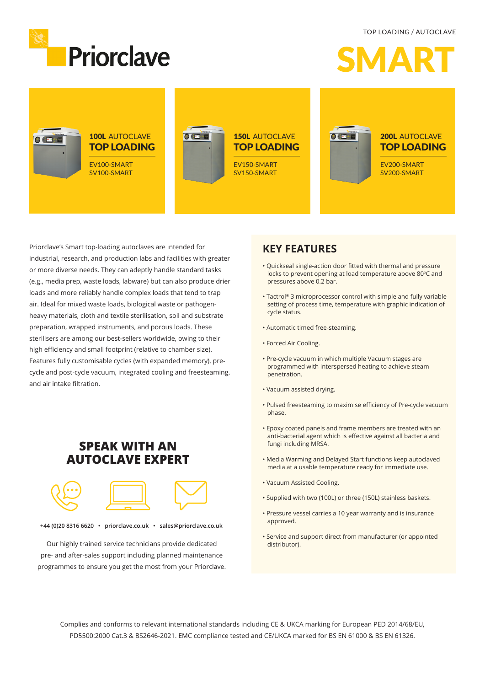TOP LOADING / AUTOCLAVE



 $\boldsymbol{A}$ 



Priorclave's Smart top-loading autoclaves are intended for industrial, research, and production labs and facilities with greater or more diverse needs. They can adeptly handle standard tasks (e.g., media prep, waste loads, labware) but can also produce drier loads and more reliably handle complex loads that tend to trap air. Ideal for mixed waste loads, biological waste or pathogenheavy materials, cloth and textile sterilisation, soil and substrate preparation, wrapped instruments, and porous loads. These sterilisers are among our best-sellers worldwide, owing to their high efficiency and small footprint (relative to chamber size). Features fully customisable cycles (with expanded memory), precycle and post-cycle vacuum, integrated cooling and freesteaming, and air intake filtration.

### **SPEAK WITH AN AUTOCLAVE EXPERT**



**+44 (0)20 8316 6620 • priorclave.co.uk • sales@priorclave.co.uk**

Our highly trained service technicians provide dedicated pre- and after-sales support including planned maintenance programmes to ensure you get the most from your Priorclave.

### **KEY FEATURES**

- Quickseal single-action door fitted with thermal and pressure locks to prevent opening at load temperature above 80°C and pressures above 0.2 bar.
- Tactrol® 3 microprocessor control with simple and fully variable setting of process time, temperature with graphic indication of cycle status.
- Automatic timed free-steaming.
- Forced Air Cooling.
- Pre-cycle vacuum in which multiple Vacuum stages are programmed with interspersed heating to achieve steam penetration.
- Vacuum assisted drying.
- Pulsed freesteaming to maximise efficiency of Pre-cycle vacuum phase.
- Epoxy coated panels and frame members are treated with an anti-bacterial agent which is effective against all bacteria and fungi including MRSA.
- Media Warming and Delayed Start functions keep autoclaved media at a usable temperature ready for immediate use.
- Vacuum Assisted Cooling.
- Supplied with two (100L) or three (150L) stainless baskets.
- Pressure vessel carries a 10 year warranty and is insurance approved.
- Service and support direct from manufacturer (or appointed distributor).

Complies and conforms to relevant international standards including CE & UKCA marking for European PED 2014/68/EU, PD5500:2000 Cat.3 & BS2646-2021. EMC compliance tested and CE/UKCA marked for BS EN 61000 & BS EN 61326.